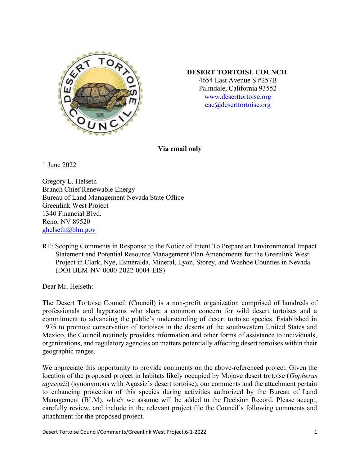

#### DESERT TORTOISE COUNCIL

4654 East Avenue S #257B Palmdale, California 93552 www.deserttortoise.org eac@deserttortoise.org

Via email only

1 June 2022

Gregory L. Helseth Branch Chief Renewable Energy Bureau of Land Management Nevada State Office Greenlink West Project 1340 Financial Blvd. Reno, NV 89520 ghelseth@blm.gov

RE: Scoping Comments in Response to the Notice of Intent To Prepare an Environmental Impact Statement and Potential Resource Management Plan Amendments for the Greenlink West Project in Clark, Nye, Esmeralda, Mineral, Lyon, Storey, and Washoe Counties in Nevada (DOI-BLM-NV-0000-2022-0004-EIS)

Dear Mr. Helseth:

The Desert Tortoise Council (Council) is a non-profit organization comprised of hundreds of professionals and laypersons who share a common concern for wild desert tortoises and a commitment to advancing the public's understanding of desert tortoise species. Established in 1975 to promote conservation of tortoises in the deserts of the southwestern United States and Mexico, the Council routinely provides information and other forms of assistance to individuals, organizations, and regulatory agencies on matters potentially affecting desert tortoises within their geographic ranges.

We appreciate this opportunity to provide comments on the above-referenced project. Given the location of the proposed project in habitats likely occupied by Mojave desert tortoise (Gopherus agassizii) (synonymous with Agassiz's desert tortoise), our comments and the attachment pertain to enhancing protection of this species during activities authorized by the Bureau of Land Management (BLM), which we assume will be added to the Decision Record. Please accept, carefully review, and include in the relevant project file the Council's following comments and attachment for the proposed project.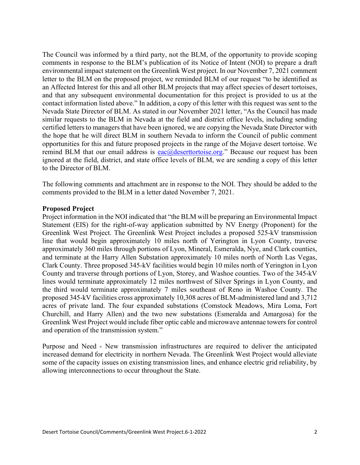The Council was informed by a third party, not the BLM, of the opportunity to provide scoping comments in response to the BLM's publication of its Notice of Intent (NOI) to prepare a draft environmental impact statement on the Greenlink West project. In our November 7, 2021 comment letter to the BLM on the proposed project, we reminded BLM of our request "to be identified as an Affected Interest for this and all other BLM projects that may affect species of desert tortoises, and that any subsequent environmental documentation for this project is provided to us at the contact information listed above." In addition, a copy of this letter with this request was sent to the Nevada State Director of BLM. As stated in our November 2021 letter, "As the Council has made similar requests to the BLM in Nevada at the field and district office levels, including sending certified letters to managers that have been ignored, we are copying the Nevada State Director with the hope that he will direct BLM in southern Nevada to inform the Council of public comment opportunities for this and future proposed projects in the range of the Mojave desert tortoise. We remind BLM that our email address is **eac@deserttortoise.org**." Because our request has been ignored at the field, district, and state office levels of BLM, we are sending a copy of this letter to the Director of BLM.

The following comments and attachment are in response to the NOI. They should be added to the comments provided to the BLM in a letter dated November 7, 2021.

#### Proposed Project

Project information in the NOI indicated that "the BLM will be preparing an Environmental Impact Statement (EIS) for the right-of-way application submitted by NV Energy (Proponent) for the Greenlink West Project. The Greenlink West Project includes a proposed 525-kV transmission line that would begin approximately 10 miles north of Yerington in Lyon County, traverse approximately 360 miles through portions of Lyon, Mineral, Esmeralda, Nye, and Clark counties, and terminate at the Harry Allen Substation approximately 10 miles north of North Las Vegas, Clark County. Three proposed 345-kV facilities would begin 10 miles north of Yerington in Lyon County and traverse through portions of Lyon, Storey, and Washoe counties. Two of the 345-kV lines would terminate approximately 12 miles northwest of Silver Springs in Lyon County, and the third would terminate approximately 7 miles southeast of Reno in Washoe County. The proposed 345-kV facilities cross approximately 10,308 acres of BLM-administered land and 3,712 acres of private land. The four expanded substations (Comstock Meadows, Mira Loma, Fort Churchill, and Harry Allen) and the two new substations (Esmeralda and Amargosa) for the Greenlink West Project would include fiber optic cable and microwave antennae towers for control and operation of the transmission system."

Purpose and Need - New transmission infrastructures are required to deliver the anticipated increased demand for electricity in northern Nevada. The Greenlink West Project would alleviate some of the capacity issues on existing transmission lines, and enhance electric grid reliability, by allowing interconnections to occur throughout the State.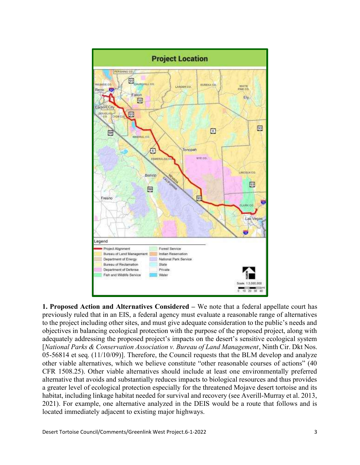

1. Proposed Action and Alternatives Considered – We note that a federal appellate court has previously ruled that in an EIS, a federal agency must evaluate a reasonable range of alternatives to the project including other sites, and must give adequate consideration to the public's needs and objectives in balancing ecological protection with the purpose of the proposed project, along with adequately addressing the proposed project's impacts on the desert's sensitive ecological system [National Parks & Conservation Association v. Bureau of Land Management, Ninth Cir. Dkt Nos. 05-56814 et seq. (11/10/09)]. Therefore, the Council requests that the BLM develop and analyze other viable alternatives, which we believe constitute "other reasonable courses of actions" (40 CFR 1508.25). Other viable alternatives should include at least one environmentally preferred alternative that avoids and substantially reduces impacts to biological resources and thus provides a greater level of ecological protection especially for the threatened Mojave desert tortoise and its habitat, including linkage habitat needed for survival and recovery (see Averill-Murray et al. 2013, 2021). For example, one alternative analyzed in the DEIS would be a route that follows and is located immediately adjacent to existing major highways.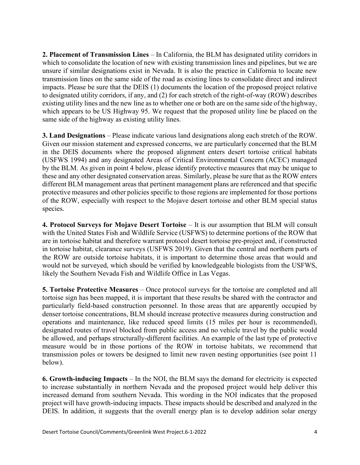2. Placement of Transmission Lines – In California, the BLM has designated utility corridors in which to consolidate the location of new with existing transmission lines and pipelines, but we are unsure if similar designations exist in Nevada. It is also the practice in California to locate new transmission lines on the same side of the road as existing lines to consolidate direct and indirect impacts. Please be sure that the DEIS (1) documents the location of the proposed project relative to designated utility corridors, if any, and (2) for each stretch of the right-of-way (ROW) describes existing utility lines and the new line as to whether one or both are on the same side of the highway, which appears to be US Highway 95. We request that the proposed utility line be placed on the same side of the highway as existing utility lines.

3. Land Designations – Please indicate various land designations along each stretch of the ROW. Given our mission statement and expressed concerns, we are particularly concerned that the BLM in the DEIS documents where the proposed alignment enters desert tortoise critical habitats (USFWS 1994) and any designated Areas of Critical Environmental Concern (ACEC) managed by the BLM. As given in point 4 below, please identify protective measures that may be unique to these and any other designated conservation areas. Similarly, please be sure that as the ROW enters different BLM management areas that pertinent management plans are referenced and that specific protective measures and other policies specific to those regions are implemented for those portions of the ROW, especially with respect to the Mojave desert tortoise and other BLM special status species.

4. Protocol Surveys for Mojave Desert Tortoise – It is our assumption that BLM will consult with the United States Fish and Wildlife Service (USFWS) to determine portions of the ROW that are in tortoise habitat and therefore warrant protocol desert tortoise pre-project and, if constructed in tortoise habitat, clearance surveys (USFWS 2019). Given that the central and northern parts of the ROW are outside tortoise habitats, it is important to determine those areas that would and would not be surveyed, which should be verified by knowledgeable biologists from the USFWS, likely the Southern Nevada Fish and Wildlife Office in Las Vegas.

5. Tortoise Protective Measures – Once protocol surveys for the tortoise are completed and all tortoise sign has been mapped, it is important that these results be shared with the contractor and particularly field-based construction personnel. In those areas that are apparently occupied by denser tortoise concentrations, BLM should increase protective measures during construction and operations and maintenance, like reduced speed limits (15 miles per hour is recommended), designated routes of travel blocked from public access and no vehicle travel by the public would be allowed, and perhaps structurally-different facilities. An example of the last type of protective measure would be in those portions of the ROW in tortoise habitats, we recommend that transmission poles or towers be designed to limit new raven nesting opportunities (see point 11 below).

6. Growth-inducing Impacts – In the NOI, the BLM says the demand for electricity is expected to increase substantially in northern Nevada and the proposed project would help deliver this increased demand from southern Nevada. This wording in the NOI indicates that the proposed project will have growth-inducing impacts. These impacts should be described and analyzed in the DEIS. In addition, it suggests that the overall energy plan is to develop addition solar energy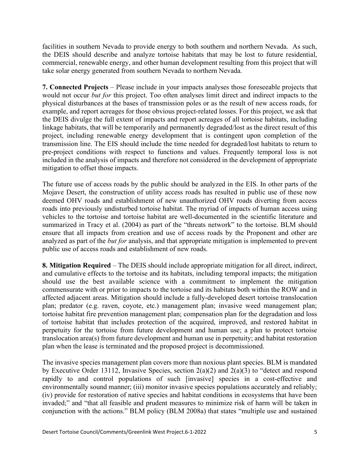facilities in southern Nevada to provide energy to both southern and northern Nevada. As such, the DEIS should describe and analyze tortoise habitats that may be lost to future residential, commercial, renewable energy, and other human development resulting from this project that will take solar energy generated from southern Nevada to northern Nevada.

7. Connected Projects – Please include in your impacts analyses those foreseeable projects that would not occur but for this project. Too often analyses limit direct and indirect impacts to the physical disturbances at the bases of transmission poles or as the result of new access roads, for example, and report acreages for those obvious project-related losses. For this project, we ask that the DEIS divulge the full extent of impacts and report acreages of all tortoise habitats, including linkage habitats, that will be temporarily and permanently degraded/lost as the direct result of this project, including renewable energy development that is contingent upon completion of the transmission line. The EIS should include the time needed for degraded/lost habitats to return to pre-project conditions with respect to functions and values. Frequently temporal loss is not included in the analysis of impacts and therefore not considered in the development of appropriate mitigation to offset those impacts.

The future use of access roads by the public should be analyzed in the EIS. In other parts of the Mojave Desert, the construction of utility access roads has resulted in public use of these now deemed OHV roads and establishment of new unauthorized OHV roads diverting from access roads into previously undisturbed tortoise habitat. The myriad of impacts of human access using vehicles to the tortoise and tortoise habitat are well-documented in the scientific literature and summarized in Tracy et al. (2004) as part of the "threats network" to the tortoise. BLM should ensure that all impacts from creation and use of access roads by the Proponent and other are analyzed as part of the but for analysis, and that appropriate mitigation is implemented to prevent public use of access roads and establishment of new roads.

8. Mitigation Required – The DEIS should include appropriate mitigation for all direct, indirect, and cumulative effects to the tortoise and its habitats, including temporal impacts; the mitigation should use the best available science with a commitment to implement the mitigation commensurate with or prior to impacts to the tortoise and its habitats both within the ROW and in affected adjacent areas. Mitigation should include a fully-developed desert tortoise translocation plan; predator (e.g. raven, coyote, etc.) management plan; invasive weed management plan; tortoise habitat fire prevention management plan; compensation plan for the degradation and loss of tortoise habitat that includes protection of the acquired, improved, and restored habitat in perpetuity for the tortoise from future development and human use; a plan to protect tortoise translocation area(s) from future development and human use in perpetuity; and habitat restoration plan when the lease is terminated and the proposed project is decommissioned.

The invasive species management plan covers more than noxious plant species. BLM is mandated by Executive Order 13112, Invasive Species, section 2(a)(2) and 2(a)(3) to "detect and respond rapidly to and control populations of such [invasive] species in a cost-effective and environmentally sound manner; (iii) monitor invasive species populations accurately and reliably; (iv) provide for restoration of native species and habitat conditions in ecosystems that have been invaded;" and "that all feasible and prudent measures to minimize risk of harm will be taken in conjunction with the actions." BLM policy (BLM 2008a) that states "multiple use and sustained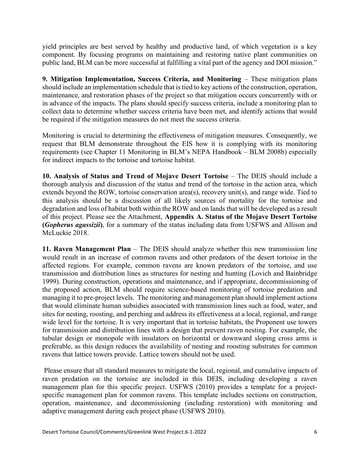yield principles are best served by healthy and productive land, of which vegetation is a key component. By focusing programs on maintaining and restoring native plant communities on public land, BLM can be more successful at fulfilling a vital part of the agency and DOI mission."

9. Mitigation Implementation, Success Criteria, and Monitoring – These mitigation plans should include an implementation schedule that is tied to key actions of the construction, operation, maintenance, and restoration phases of the project so that mitigation occurs concurrently with or in advance of the impacts. The plans should specify success criteria, include a monitoring plan to collect data to determine whether success criteria have been met, and identify actions that would be required if the mitigation measures do not meet the success criteria.

Monitoring is crucial to determining the effectiveness of mitigation measures. Consequently, we request that BLM demonstrate throughout the EIS how it is complying with its monitoring requirements (see Chapter 11 Monitoring in BLM's NEPA Handbook – BLM 2008b) especially for indirect impacts to the tortoise and tortoise habitat.

10. Analysis of Status and Trend of Mojave Desert Tortoise – The DEIS should include a thorough analysis and discussion of the status and trend of the tortoise in the action area, which extends beyond the ROW, tortoise conservation area(s), recovery unit(s), and range wide. Tied to this analysis should be a discussion of all likely sources of mortality for the tortoise and degradation and loss of habitat both within the ROW and on lands that will be developed as a result of this project. Please see the Attachment, Appendix A. Status of the Mojave Desert Tortoise (Gopherus agassizii), for a summary of the status including data from USFWS and Allison and McLuckie 2018.

11. Raven Management Plan – The DEIS should analyze whether this new transmission line would result in an increase of common ravens and other predators of the desert tortoise in the affected regions. For example, common ravens are known predators of the tortoise, and use transmission and distribution lines as structures for nesting and hunting (Lovich and Bainbridge 1999). During construction, operations and maintenance, and if appropriate, decommissioning of the proposed action, BLM should require science-based monitoring of tortoise predation and managing it to pre-project levels. The monitoring and management plan should implement actions that would eliminate human subsidies associated with transmission lines such as food, water, and sites for nesting, roosting, and perching and address its effectiveness at a local, regional, and range wide level for the tortoise. It is very important that in tortoise habitats, the Proponent use towers for transmission and distribution lines with a design that prevent raven nesting. For example, the tubular design or monopole with insulators on horizontal or downward sloping cross arms is preferable, as this design reduces the availability of nesting and roosting substrates for common ravens that lattice towers provide. Lattice towers should not be used.

 Please ensure that all standard measures to mitigate the local, regional, and cumulative impacts of raven predation on the tortoise are included in this DEIS, including developing a raven management plan for this specific project. USFWS (2010) provides a template for a projectspecific management plan for common ravens. This template includes sections on construction, operation, maintenance, and decommissioning (including restoration) with monitoring and adaptive management during each project phase (USFWS 2010).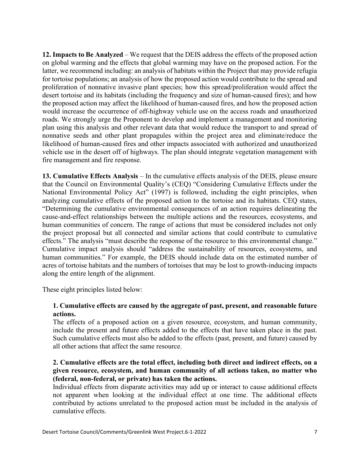12. Impacts to Be Analyzed – We request that the DEIS address the effects of the proposed action on global warming and the effects that global warming may have on the proposed action. For the latter, we recommend including: an analysis of habitats within the Project that may provide refugia for tortoise populations; an analysis of how the proposed action would contribute to the spread and proliferation of nonnative invasive plant species; how this spread/proliferation would affect the desert tortoise and its habitats (including the frequency and size of human-caused fires); and how the proposed action may affect the likelihood of human-caused fires, and how the proposed action would increase the occurrence of off-highway vehicle use on the access roads and unauthorized roads. We strongly urge the Proponent to develop and implement a management and monitoring plan using this analysis and other relevant data that would reduce the transport to and spread of nonnative seeds and other plant propagules within the project area and eliminate/reduce the likelihood of human-caused fires and other impacts associated with authorized and unauthorized vehicle use in the desert off of highways. The plan should integrate vegetation management with fire management and fire response.

13. Cumulative Effects Analysis – In the cumulative effects analysis of the DEIS, please ensure that the Council on Environmental Quality's (CEQ) "Considering Cumulative Effects under the National Environmental Policy Act" (1997) is followed, including the eight principles, when analyzing cumulative effects of the proposed action to the tortoise and its habitats. CEQ states, "Determining the cumulative environmental consequences of an action requires delineating the cause-and-effect relationships between the multiple actions and the resources, ecosystems, and human communities of concern. The range of actions that must be considered includes not only the project proposal but all connected and similar actions that could contribute to cumulative effects." The analysis "must describe the response of the resource to this environmental change." Cumulative impact analysis should "address the sustainability of resources, ecosystems, and human communities." For example, the DEIS should include data on the estimated number of acres of tortoise habitats and the numbers of tortoises that may be lost to growth-inducing impacts along the entire length of the alignment.

These eight principles listed below:

# 1. Cumulative effects are caused by the aggregate of past, present, and reasonable future actions.

The effects of a proposed action on a given resource, ecosystem, and human community, include the present and future effects added to the effects that have taken place in the past. Such cumulative effects must also be added to the effects (past, present, and future) caused by all other actions that affect the same resource.

# 2. Cumulative effects are the total effect, including both direct and indirect effects, on a given resource, ecosystem, and human community of all actions taken, no matter who (federal, non-federal, or private) has taken the actions.

Individual effects from disparate activities may add up or interact to cause additional effects not apparent when looking at the individual effect at one time. The additional effects contributed by actions unrelated to the proposed action must be included in the analysis of cumulative effects.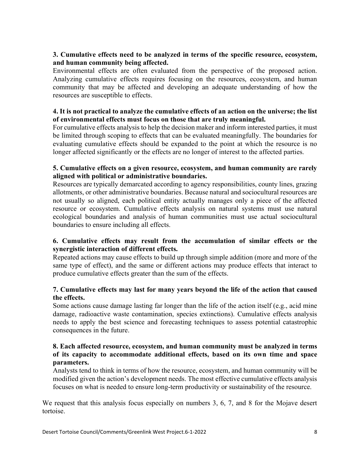# 3. Cumulative effects need to be analyzed in terms of the specific resource, ecosystem, and human community being affected.

Environmental effects are often evaluated from the perspective of the proposed action. Analyzing cumulative effects requires focusing on the resources, ecosystem, and human community that may be affected and developing an adequate understanding of how the resources are susceptible to effects.

# 4. It is not practical to analyze the cumulative effects of an action on the universe; the list of environmental effects must focus on those that are truly meaningful.

For cumulative effects analysis to help the decision maker and inform interested parties, it must be limited through scoping to effects that can be evaluated meaningfully. The boundaries for evaluating cumulative effects should be expanded to the point at which the resource is no longer affected significantly or the effects are no longer of interest to the affected parties.

# 5. Cumulative effects on a given resource, ecosystem, and human community are rarely aligned with political or administrative boundaries.

Resources are typically demarcated according to agency responsibilities, county lines, grazing allotments, or other administrative boundaries. Because natural and sociocultural resources are not usually so aligned, each political entity actually manages only a piece of the affected resource or ecosystem. Cumulative effects analysis on natural systems must use natural ecological boundaries and analysis of human communities must use actual sociocultural boundaries to ensure including all effects.

# 6. Cumulative effects may result from the accumulation of similar effects or the synergistic interaction of different effects.

Repeated actions may cause effects to build up through simple addition (more and more of the same type of effect), and the same or different actions may produce effects that interact to produce cumulative effects greater than the sum of the effects.

# 7. Cumulative effects may last for many years beyond the life of the action that caused the effects.

Some actions cause damage lasting far longer than the life of the action itself (e.g., acid mine damage, radioactive waste contamination, species extinctions). Cumulative effects analysis needs to apply the best science and forecasting techniques to assess potential catastrophic consequences in the future.

#### 8. Each affected resource, ecosystem, and human community must be analyzed in terms of its capacity to accommodate additional effects, based on its own time and space parameters.

Analysts tend to think in terms of how the resource, ecosystem, and human community will be modified given the action's development needs. The most effective cumulative effects analysis focuses on what is needed to ensure long-term productivity or sustainability of the resource.

We request that this analysis focus especially on numbers 3, 6, 7, and 8 for the Mojave desert tortoise.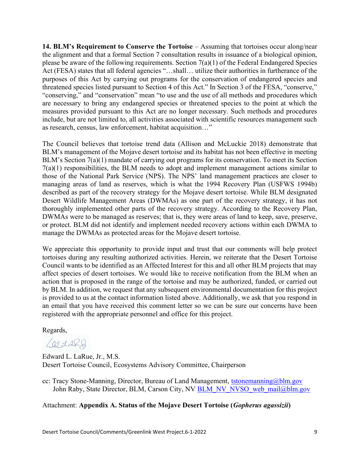14. BLM's Requirement to Conserve the Tortoise – Assuming that tortoises occur along/near the alignment and that a formal Section 7 consultation results in issuance of a biological opinion, please be aware of the following requirements. Section 7(a)(1) of the Federal Endangered Species Act (FESA) states that all federal agencies "…shall… utilize their authorities in furtherance of the purposes of this Act by carrying out programs for the conservation of endangered species and threatened species listed pursuant to Section 4 of this Act." In Section 3 of the FESA, "conserve," "conserving," and "conservation" mean "to use and the use of all methods and procedures which are necessary to bring any endangered species or threatened species to the point at which the measures provided pursuant to this Act are no longer necessary. Such methods and procedures include, but are not limited to, all activities associated with scientific resources management such as research, census, law enforcement, habitat acquisition…"

The Council believes that tortoise trend data (Allison and McLuckie 2018) demonstrate that BLM's management of the Mojave desert tortoise and its habitat has not been effective in meeting BLM's Section 7(a)(1) mandate of carrying out programs for its conservation. To meet its Section 7(a)(1) responsibilities, the BLM needs to adopt and implement management actions similar to those of the National Park Service (NPS). The NPS' land management practices are closer to managing areas of land as reserves, which is what the 1994 Recovery Plan (USFWS 1994b) described as part of the recovery strategy for the Mojave desert tortoise. While BLM designated Desert Wildlife Management Areas (DWMAs) as one part of the recovery strategy, it has not thoroughly implemented other parts of the recovery strategy. According to the Recovery Plan, DWMAs were to be managed as reserves; that is, they were areas of land to keep, save, preserve, or protect. BLM did not identify and implement needed recovery actions within each DWMA to manage the DWMAs as protected areas for the Mojave desert tortoise.

We appreciate this opportunity to provide input and trust that our comments will help protect tortoises during any resulting authorized activities. Herein, we reiterate that the Desert Tortoise Council wants to be identified as an Affected Interest for this and all other BLM projects that may affect species of desert tortoises. We would like to receive notification from the BLM when an action that is proposed in the range of the tortoise and may be authorized, funded, or carried out by BLM. In addition, we request that any subsequent environmental documentation for this project is provided to us at the contact information listed above. Additionally, we ask that you respond in an email that you have received this comment letter so we can be sure our concerns have been registered with the appropriate personnel and office for this project.

Regards,

 $6072R$ 

Edward L. LaRue, Jr., M.S. Desert Tortoise Council, Ecosystems Advisory Committee, Chairperson

cc: Tracy Stone-Manning, Director, Bureau of Land Management, tstonemanning@blm.gov John Raby, State Director, BLM, Carson City, NV BLM\_NV\_NVSO\_web\_mail@blm.gov

Attachment: Appendix A. Status of the Mojave Desert Tortoise (Gopherus agassizii)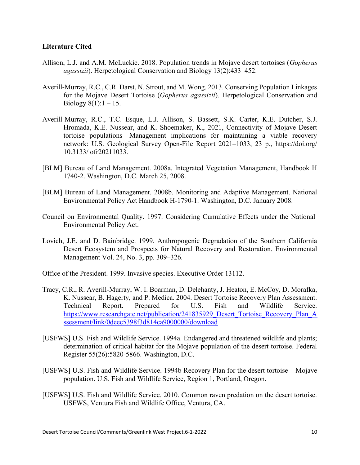#### Literature Cited

- Allison, L.J. and A.M. McLuckie. 2018. Population trends in Mojave desert tortoises (*Gopherus* agassizii). Herpetological Conservation and Biology 13(2):433–452.
- Averill-Murray, R.C., C.R. Darst, N. Strout, and M. Wong. 2013. Conserving Population Linkages for the Mojave Desert Tortoise (Gopherus agassizii). Herpetological Conservation and Biology  $8(1):1 - 15$ .
- Averill-Murray, R.C., T.C. Esque, L.J. Allison, S. Bassett, S.K. Carter, K.E. Dutcher, S.J. Hromada, K.E. Nussear, and K. Shoemaker, K., 2021, Connectivity of Mojave Desert tortoise populations—Management implications for maintaining a viable recovery network: U.S. Geological Survey Open-File Report 2021–1033, 23 p., https://doi.org/ 10.3133/ ofr20211033.
- [BLM] Bureau of Land Management. 2008a. Integrated Vegetation Management, Handbook H 1740-2. Washington, D.C. March 25, 2008.
- [BLM] Bureau of Land Management. 2008b. Monitoring and Adaptive Management. National Environmental Policy Act Handbook H-1790-1. Washington, D.C. January 2008.
- Council on Environmental Quality. 1997. Considering Cumulative Effects under the National Environmental Policy Act.
- Lovich, J.E. and D. Bainbridge. 1999. Anthropogenic Degradation of the Southern California Desert Ecosystem and Prospects for Natural Recovery and Restoration. Environmental Management Vol. 24, No. 3, pp. 309–326.
- Office of the President. 1999. Invasive species. Executive Order 13112.
- Tracy, C.R., R. Averill-Murray, W. I. Boarman, D. Delehanty, J. Heaton, E. McCoy, D. Morafka, K. Nussear, B. Hagerty, and P. Medica. 2004. Desert Tortoise Recovery Plan Assessment. Technical Report. Prepared for U.S. Fish and Wildlife Service. https://www.researchgate.net/publication/241835929 Desert Tortoise Recovery Plan A ssessment/link/0deec5398f3d814ca9000000/download
- [USFWS] U.S. Fish and Wildlife Service. 1994a. Endangered and threatened wildlife and plants; determination of critical habitat for the Mojave population of the desert tortoise. Federal Register 55(26):5820-5866. Washington, D.C.
- [USFWS] U.S. Fish and Wildlife Service. 1994b Recovery Plan for the desert tortoise Mojave population. U.S. Fish and Wildlife Service, Region 1, Portland, Oregon.
- [USFWS] U.S. Fish and Wildlife Service. 2010. Common raven predation on the desert tortoise. USFWS, Ventura Fish and Wildlife Office, Ventura, CA.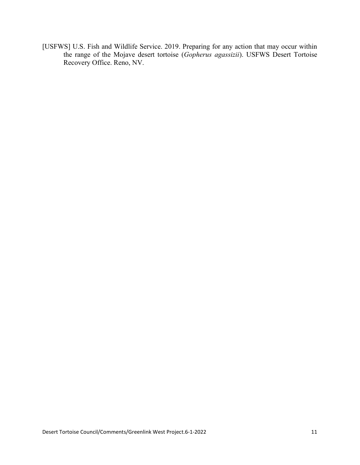[USFWS] U.S. Fish and Wildlife Service. 2019. Preparing for any action that may occur within the range of the Mojave desert tortoise (Gopherus agassizii). USFWS Desert Tortoise Recovery Office. Reno, NV.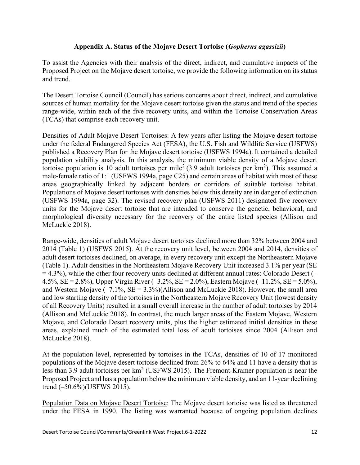# Appendix A. Status of the Mojave Desert Tortoise (Gopherus agassizii)

To assist the Agencies with their analysis of the direct, indirect, and cumulative impacts of the Proposed Project on the Mojave desert tortoise, we provide the following information on its status and trend.

The Desert Tortoise Council (Council) has serious concerns about direct, indirect, and cumulative sources of human mortality for the Mojave desert tortoise given the status and trend of the species range-wide, within each of the five recovery units, and within the Tortoise Conservation Areas (TCAs) that comprise each recovery unit.

Densities of Adult Mojave Desert Tortoises: A few years after listing the Mojave desert tortoise under the federal Endangered Species Act (FESA), the U.S. Fish and Wildlife Service (USFWS) published a Recovery Plan for the Mojave desert tortoise (USFWS 1994a). It contained a detailed population viability analysis. In this analysis, the minimum viable density of a Mojave desert tortoise population is 10 adult tortoises per mile<sup>2</sup> (3.9 adult tortoises per  $km<sup>2</sup>$ ). This assumed a male-female ratio of 1:1 (USFWS 1994a, page C25) and certain areas of habitat with most of these areas geographically linked by adjacent borders or corridors of suitable tortoise habitat. Populations of Mojave desert tortoises with densities below this density are in danger of extinction (USFWS 1994a, page 32). The revised recovery plan (USFWS 2011) designated five recovery units for the Mojave desert tortoise that are intended to conserve the genetic, behavioral, and morphological diversity necessary for the recovery of the entire listed species (Allison and McLuckie 2018).

Range-wide, densities of adult Mojave desert tortoises declined more than 32% between 2004 and 2014 (Table 1) (USFWS 2015). At the recovery unit level, between 2004 and 2014, densities of adult desert tortoises declined, on average, in every recovery unit except the Northeastern Mojave (Table 1). Adult densities in the Northeastern Mojave Recovery Unit increased 3.1% per year (SE  $= 4.3\%$ ), while the other four recovery units declined at different annual rates: Colorado Desert (– 4.5%,  $SE = 2.8\%$ ), Upper Virgin River (-3.2%,  $SE = 2.0\%$ ), Eastern Mojave (-11.2%,  $SE = 5.0\%$ ), and Western Mojave  $(-7.1\%$ , SE = 3.3%)(Allison and McLuckie 2018). However, the small area and low starting density of the tortoises in the Northeastern Mojave Recovery Unit (lowest density of all Recovery Units) resulted in a small overall increase in the number of adult tortoises by 2014 (Allison and McLuckie 2018). In contrast, the much larger areas of the Eastern Mojave, Western Mojave, and Colorado Desert recovery units, plus the higher estimated initial densities in these areas, explained much of the estimated total loss of adult tortoises since 2004 (Allison and McLuckie 2018).

At the population level, represented by tortoises in the TCAs, densities of 10 of 17 monitored populations of the Mojave desert tortoise declined from 26% to 64% and 11 have a density that is less than 3.9 adult tortoises per  $km^2$  (USFWS 2015). The Fremont-Kramer population is near the Proposed Project and has a population below the minimum viable density, and an 11-year declining trend (–50.6%)(USFWS 2015).

Population Data on Mojave Desert Tortoise: The Mojave desert tortoise was listed as threatened under the FESA in 1990. The listing was warranted because of ongoing population declines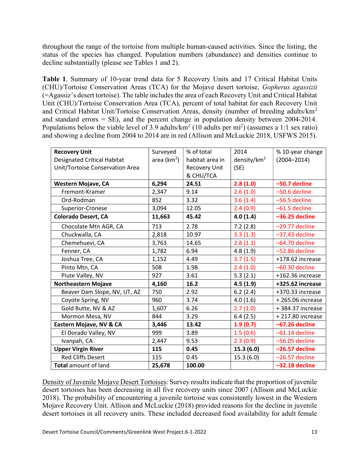throughout the range of the tortoise from multiple human-caused activities. Since the listing, the status of the species has changed. Population numbers (abundance) and densities continue to decline substantially (please see Tables 1 and 2).

Table 1. Summary of 10-year trend data for 5 Recovery Units and 17 Critical Habitat Units (CHU)/Tortoise Conservation Areas (TCA) for the Mojave desert tortoise, Gopherus agassizii (=Agassiz's desert tortoise). The table includes the area of each Recovery Unit and Critical Habitat Unit (CHU)/Tortoise Conservation Area (TCA), percent of total habitat for each Recovery Unit and Critical Habitat Unit/Tortoise Conservation Areas, density (number of breeding adults/km<sup>2</sup> and standard errors = SE), and the percent change in population density between 2004-2014. Populations below the viable level of 3.9 adults/km<sup>2</sup> (10 adults per mi<sup>2</sup>) (assumes a 1:1 sex ratio) and showing a decline from 2004 to 2014 are in red (Allison and McLuckie 2018, USFWS 2015).

| <b>Recovery Unit</b>               | Surveyed       | % of total      | 2014                    | % 10-year change |
|------------------------------------|----------------|-----------------|-------------------------|------------------|
| <b>Designated Critical Habitat</b> | area ( $km2$ ) | habitat area in | density/km <sup>2</sup> | $(2004 - 2014)$  |
| Unit/Tortoise Conservation Area    |                | Recovery Unit   | (SE)                    |                  |
|                                    |                | & CHU/TCA       |                         |                  |
| <b>Western Mojave, CA</b>          | 6,294          | 24.51           | 2.8(1.0)                | -50.7 decline    |
| Fremont-Kramer                     | 2,347          | 9.14            | 2.6(1.0)                | -50.6 decline    |
| Ord-Rodman                         | 852            | 3.32            | 3.6(1.4)                | -56.5 decline    |
| Superior-Cronese                   | 3,094          | 12.05           | 2.4(0.9)                | $-61.5$ decline  |
| <b>Colorado Desert, CA</b>         | 11,663         | 45.42           | 4.0(1.4)                | $-36.25$ decline |
| Chocolate Mtn AGR, CA              | 713            | 2.78            | 7.2(2.8)                | $-29.77$ decline |
| Chuckwalla, CA                     | 2,818          | 10.97           | 3.3(1.3)                | $-37.43$ decline |
| Chemehuevi, CA                     | 3,763          | 14.65           | 2.8(1.1)                | $-64.70$ decline |
| Fenner, CA                         | 1,782          | 6.94            | 4.8(1.9)                | $-52.86$ decline |
| Joshua Tree, CA                    | 1,152          | 4.49            | 3.7(1.5)                | +178.62 increase |
| Pinto Mtn, CA                      | 508            | 1.98            | 2.4(1.0)                | $-60.30$ decline |
| Piute Valley, NV                   | 927            | 3.61            | 5.3(2.1)                | +162.36 increase |
| <b>Northeastern Mojave</b>         | 4,160          | 16.2            | 4.5(1.9)                | +325.62 increase |
| Beaver Dam Slope, NV, UT, AZ       | 750            | 2.92            | 6.2(2.4)                | +370.33 increase |
| Coyote Spring, NV                  | 960            | 3.74            | 4.0(1.6)                | +265.06 increase |
| Gold Butte, NV & AZ                | 1,607          | 6.26            | 2.7(1.0)                | +384.37 increase |
| Mormon Mesa, NV                    | 844            | 3.29            | 6.4(2.5)                | +217.80 increase |
| Eastern Mojave, NV & CA            | 3,446          | 13.42           | 1.9(0.7)                | $-67.26$ decline |
| El Dorado Valley, NV               | 999            | 3.89            | 1.5(0.6)                | $-61.14$ decline |
| Ivanpah, CA                        | 2,447          | 9.53            | 2.3(0.9)                | $-56.05$ decline |
| <b>Upper Virgin River</b>          | 115            | 0.45            | 15.3(6.0)               | $-26.57$ decline |
| <b>Red Cliffs Desert</b>           | 115            | 0.45            | 15.3(6.0)               | $-26.57$ decline |
| Total amount of land               | 25,678         | 100.00          |                         | $-32.18$ decline |

Density of Juvenile Mojave Desert Tortoises: Survey results indicate that the proportion of juvenile desert tortoises has been decreasing in all five recovery units since 2007 (Allison and McLuckie 2018). The probability of encountering a juvenile tortoise was consistently lowest in the Western Mojave Recovery Unit. Allison and McLuckie (2018) provided reasons for the decline in juvenile desert tortoises in all recovery units. These included decreased food availability for adult female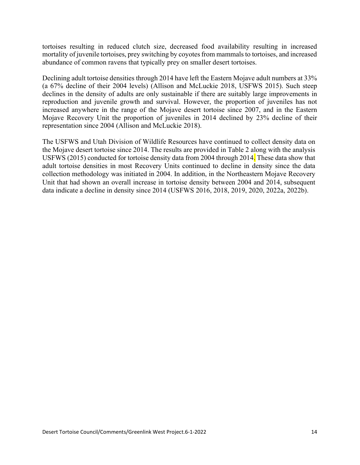tortoises resulting in reduced clutch size, decreased food availability resulting in increased mortality of juvenile tortoises, prey switching by coyotes from mammals to tortoises, and increased abundance of common ravens that typically prey on smaller desert tortoises.

Declining adult tortoise densities through 2014 have left the Eastern Mojave adult numbers at 33% (a 67% decline of their 2004 levels) (Allison and McLuckie 2018, USFWS 2015). Such steep declines in the density of adults are only sustainable if there are suitably large improvements in reproduction and juvenile growth and survival. However, the proportion of juveniles has not increased anywhere in the range of the Mojave desert tortoise since 2007, and in the Eastern Mojave Recovery Unit the proportion of juveniles in 2014 declined by 23% decline of their representation since 2004 (Allison and McLuckie 2018).

The USFWS and Utah Division of Wildlife Resources have continued to collect density data on the Mojave desert tortoise since 2014. The results are provided in Table 2 along with the analysis USFWS (2015) conducted for tortoise density data from 2004 through 2014. These data show that adult tortoise densities in most Recovery Units continued to decline in density since the data collection methodology was initiated in 2004. In addition, in the Northeastern Mojave Recovery Unit that had shown an overall increase in tortoise density between 2004 and 2014, subsequent data indicate a decline in density since 2014 (USFWS 2016, 2018, 2019, 2020, 2022a, 2022b).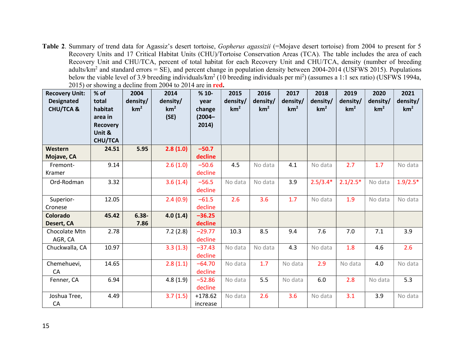Table 2. Summary of trend data for Agassiz's desert tortoise, Gopherus agassizii (=Mojave desert tortoise) from 2004 to present for 5 Recovery Units and 17 Critical Habitat Units (CHU)/Tortoise Conservation Areas (TCA). The table includes the area of each Recovery Unit and CHU/TCA, percent of total habitat for each Recovery Unit and CHU/TCA, density (number of breeding adults/km<sup>2</sup> and standard errors = SE), and percent change in population density between 2004-2014 (USFWS 2015). Populations below the viable level of 3.9 breeding individuals/km<sup>2</sup> (10 breeding individuals per mi<sup>2</sup>) (assumes a 1:1 sex ratio) (USFWS 1994a, 2015) or showing a decline from 2004 to 2014 are in red.

| <b>Recovery Unit:</b><br><b>Designated</b><br><b>CHU/TCA &amp;</b> | % of<br>total<br>habitat<br>area in<br>Recovery<br>Unit &<br><b>CHU/TCA</b> | 2004<br>density/<br>km <sup>2</sup> | 2014<br>density/<br>km <sup>2</sup><br>(SE) | $%10-$<br>year<br>change<br>$(2004 -$<br>2014) | 2015<br>density/<br>km <sup>2</sup> | 2016<br>density/<br>km <sup>2</sup> | 2017<br>density/<br>km <sup>2</sup> | 2018<br>density/<br>km <sup>2</sup> | 2019<br>density/<br>km <sup>2</sup> | 2020<br>density/<br>km <sup>2</sup> | 2021<br>density/<br>km <sup>2</sup> |
|--------------------------------------------------------------------|-----------------------------------------------------------------------------|-------------------------------------|---------------------------------------------|------------------------------------------------|-------------------------------------|-------------------------------------|-------------------------------------|-------------------------------------|-------------------------------------|-------------------------------------|-------------------------------------|
| Western                                                            | 24.51                                                                       | 5.95                                | 2.8(1.0)                                    | $-50.7$                                        |                                     |                                     |                                     |                                     |                                     |                                     |                                     |
| Mojave, CA                                                         |                                                                             |                                     |                                             | decline                                        |                                     |                                     |                                     |                                     |                                     |                                     |                                     |
| Fremont-<br>Kramer                                                 | 9.14                                                                        |                                     | 2.6(1.0)                                    | $-50.6$<br>decline                             | 4.5                                 | No data                             | 4.1                                 | No data                             | 2.7                                 | 1.7                                 | No data                             |
| Ord-Rodman                                                         | 3.32                                                                        |                                     | 3.6(1.4)                                    | $-56.5$<br>decline                             | No data                             | No data                             | 3.9                                 | $2.5/3.4*$                          | $2.1/2.5*$                          | No data                             | $1.9/2.5*$                          |
| Superior-                                                          | 12.05                                                                       |                                     | 2.4(0.9)                                    | $-61.5$                                        | 2.6                                 | 3.6                                 | 1.7                                 | No data                             | 1.9                                 | No data                             | No data                             |
| Cronese                                                            |                                                                             |                                     |                                             | decline                                        |                                     |                                     |                                     |                                     |                                     |                                     |                                     |
| Colorado                                                           | 45.42                                                                       | $6.38 -$                            | 4.0(1.4)                                    | $-36.25$                                       |                                     |                                     |                                     |                                     |                                     |                                     |                                     |
| Desert, CA                                                         |                                                                             | 7.86                                |                                             | decline                                        |                                     |                                     |                                     |                                     |                                     |                                     |                                     |
| Chocolate Mtn<br>AGR, CA                                           | 2.78                                                                        |                                     | 7.2(2.8)                                    | $-29.77$<br>decline                            | 10.3                                | 8.5                                 | 9.4                                 | 7.6                                 | 7.0                                 | 7.1                                 | 3.9                                 |
| Chuckwalla, CA                                                     | 10.97                                                                       |                                     | 3.3(1.3)                                    | $-37.43$<br>decline                            | No data                             | No data                             | 4.3                                 | No data                             | 1.8                                 | 4.6                                 | 2.6                                 |
| Chemehuevi,<br>CA                                                  | 14.65                                                                       |                                     | 2.8(1.1)                                    | $-64.70$<br>decline                            | No data                             | 1.7                                 | No data                             | 2.9                                 | No data                             | 4.0                                 | No data                             |
| Fenner, CA                                                         | 6.94                                                                        |                                     | 4.8(1.9)                                    | $-52.86$<br>decline                            | No data                             | 5.5                                 | No data                             | 6.0                                 | 2.8                                 | No data                             | 5.3                                 |
| Joshua Tree,<br>CA                                                 | 4.49                                                                        |                                     | 3.7(1.5)                                    | $+178.62$<br>increase                          | No data                             | 2.6                                 | 3.6                                 | No data                             | 3.1                                 | 3.9                                 | No data                             |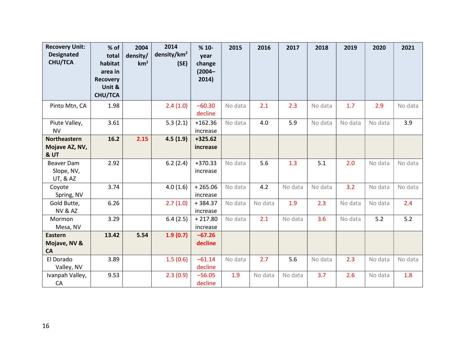| <b>Recovery Unit:</b><br><b>Designated</b><br><b>CHU/TCA</b> | % of<br>total<br>habitat<br>area in<br><b>Recovery</b><br>Unit &<br><b>CHU/TCA</b> | 2004<br>density/<br>km <sup>2</sup> | 2014<br>density/ $km^2$<br>(SE) | $%10-$<br>year<br>change<br>$(2004 -$<br>2014) | 2015    | 2016    | 2017    | 2018    | 2019    | 2020    | 2021    |
|--------------------------------------------------------------|------------------------------------------------------------------------------------|-------------------------------------|---------------------------------|------------------------------------------------|---------|---------|---------|---------|---------|---------|---------|
| Pinto Mtn, CA                                                | 1.98                                                                               |                                     | 2.4(1.0)                        | $-60.30$<br>decline                            | No data | 2.1     | 2.3     | No data | 1.7     | 2.9     | No data |
| Piute Valley,<br><b>NV</b>                                   | 3.61                                                                               |                                     | 5.3(2.1)                        | $+162.36$<br>increase                          | No data | 4.0     | 5.9     | No data | No data | No data | 3.9     |
| Northeastern<br>Mojave AZ, NV,<br>& UT                       | 16.2                                                                               | 2.15                                | 4.5(1.9)                        | $+325.62$<br>increase                          |         |         |         |         |         |         |         |
| <b>Beaver Dam</b><br>Slope, NV,<br><b>UT, &amp; AZ</b>       | 2.92                                                                               |                                     | 6.2(2.4)                        | $+370.33$<br>increase                          | No data | 5.6     | 1.3     | 5.1     | 2.0     | No data | No data |
| Coyote<br>Spring, NV                                         | 3.74                                                                               |                                     | 4.0(1.6)                        | $+265.06$<br>increase                          | No data | 4.2     | No data | No data | 3.2     | No data | No data |
| Gold Butte,<br><b>NV &amp; AZ</b>                            | 6.26                                                                               |                                     | 2.7(1.0)                        | $+384.37$<br>increase                          | No data | No data | 1.9     | 2.3     | No data | No data | 2.4     |
| Mormon<br>Mesa, NV                                           | 3.29                                                                               |                                     | 6.4(2.5)                        | $+217.80$<br>increase                          | No data | 2.1     | No data | 3.6     | No data | 5.2     | 5.2     |
| Eastern<br>Mojave, NV &<br>CA                                | 13.42                                                                              | 5.54                                | 1.9(0.7)                        | $-67.26$<br>decline                            |         |         |         |         |         |         |         |
| El Dorado<br>Valley, NV                                      | 3.89                                                                               |                                     | 1.5(0.6)                        | $-61.14$<br>decline                            | No data | 2.7     | 5.6     | No data | 2.3     | No data | No data |
| Ivanpah Valley,<br>${\sf CA}$                                | 9.53                                                                               |                                     | 2.3(0.9)                        | $-56.05$<br>decline                            | 1.9     | No data | No data | 3.7     | 2.6     | No data | 1.8     |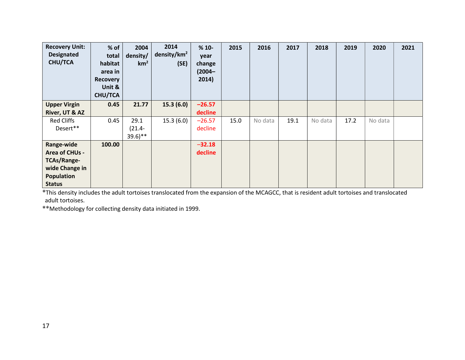| <b>Recovery Unit:</b><br><b>Designated</b><br><b>CHU/TCA</b> | % of<br>total<br>habitat<br>area in<br>Recovery<br>Unit &<br><b>CHU/TCA</b> | 2004<br>density/<br>km <sup>2</sup> | 2014<br>density/ $km^2$<br>(SE) | $%10-$<br>year<br>change<br>$(2004 -$<br>2014) | 2015 | 2016    | 2017 | 2018    | 2019 | 2020    | 2021 |  |
|--------------------------------------------------------------|-----------------------------------------------------------------------------|-------------------------------------|---------------------------------|------------------------------------------------|------|---------|------|---------|------|---------|------|--|
| <b>Upper Virgin</b>                                          | 0.45                                                                        | 21.77                               | 15.3(6.0)                       | $-26.57$                                       |      |         |      |         |      |         |      |  |
| River, UT & AZ                                               |                                                                             |                                     |                                 | decline                                        |      |         |      |         |      |         |      |  |
| <b>Red Cliffs</b>                                            | 0.45                                                                        | 29.1                                | 15.3(6.0)                       | $-26.57$                                       | 15.0 | No data | 19.1 | No data | 17.2 | No data |      |  |
| Desert**                                                     |                                                                             | $(21.4 -$                           |                                 | decline                                        |      |         |      |         |      |         |      |  |
|                                                              |                                                                             | $39.6$ <sup>**</sup>                |                                 |                                                |      |         |      |         |      |         |      |  |
| Range-wide                                                   | 100.00                                                                      |                                     |                                 | $-32.18$                                       |      |         |      |         |      |         |      |  |
| Area of CHUs -                                               |                                                                             |                                     |                                 | decline                                        |      |         |      |         |      |         |      |  |
| <b>TCAs/Range-</b>                                           |                                                                             |                                     |                                 |                                                |      |         |      |         |      |         |      |  |
| wide Change in                                               |                                                                             |                                     |                                 |                                                |      |         |      |         |      |         |      |  |
| <b>Population</b>                                            |                                                                             |                                     |                                 |                                                |      |         |      |         |      |         |      |  |
| <b>Status</b>                                                |                                                                             |                                     |                                 |                                                |      |         |      |         |      |         |      |  |

\*This density includes the adult tortoises translocated from the expansion of the MCAGCC, that is resident adult tortoises and translocated adult tortoises.

\*\*Methodology for collecting density data initiated in 1999.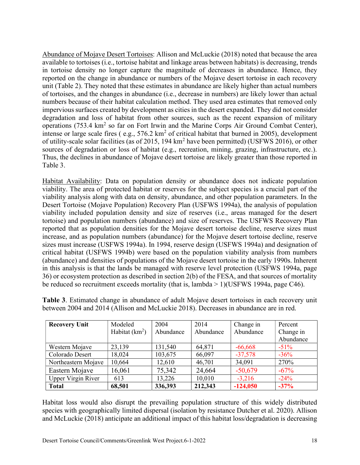Abundance of Mojave Desert Tortoises: Allison and McLuckie (2018) noted that because the area available to tortoises (i.e., tortoise habitat and linkage areas between habitats) is decreasing, trends in tortoise density no longer capture the magnitude of decreases in abundance. Hence, they reported on the change in abundance or numbers of the Mojave desert tortoise in each recovery unit (Table 2). They noted that these estimates in abundance are likely higher than actual numbers of tortoises, and the changes in abundance (i.e., decrease in numbers) are likely lower than actual numbers because of their habitat calculation method. They used area estimates that removed only impervious surfaces created by development as cities in the desert expanded. They did not consider degradation and loss of habitat from other sources, such as the recent expansion of military operations (753.4 km<sup>2</sup> so far on Fort Irwin and the Marine Corps Air Ground Combat Center), intense or large scale fires (e.g.,  $576.2 \text{ km}^2$  of critical habitat that burned in 2005), development of utility-scale solar facilities (as of 2015, 194 km<sup>2</sup> have been permitted) (USFWS 2016), or other sources of degradation or loss of habitat (e.g., recreation, mining, grazing, infrastructure, etc.). Thus, the declines in abundance of Mojave desert tortoise are likely greater than those reported in Table 3.

Habitat Availability: Data on population density or abundance does not indicate population viability. The area of protected habitat or reserves for the subject species is a crucial part of the viability analysis along with data on density, abundance, and other population parameters. In the Desert Tortoise (Mojave Population) Recovery Plan (USFWS 1994a), the analysis of population viability included population density and size of reserves (i.e., areas managed for the desert tortoise) and population numbers (abundance) and size of reserves. The USFWS Recovery Plan reported that as population densities for the Mojave desert tortoise decline, reserve sizes must increase, and as population numbers (abundance) for the Mojave desert tortoise decline, reserve sizes must increase (USFWS 1994a). In 1994, reserve design (USFWS 1994a) and designation of critical habitat (USFWS 1994b) were based on the population viability analysis from numbers (abundance) and densities of populations of the Mojave desert tortoise in the early 1990s. Inherent in this analysis is that the lands be managed with reserve level protection (USFWS 1994a, page 36) or ecosystem protection as described in section 2(b) of the FESA, and that sources of mortality be reduced so recruitment exceeds mortality (that is, lambda > 1)(USFWS 1994a, page C46).

| <b>Recovery Unit</b>      | Modeled          | 2004      | 2014      | Change in  | Percent   |
|---------------------------|------------------|-----------|-----------|------------|-----------|
|                           | Habitat $(km^2)$ | Abundance | Abundance | Abundance  | Change in |
|                           |                  |           |           |            | Abundance |
| Western Mojave            | 23,139           | 131,540   | 64,871    | $-66,668$  | $-51\%$   |
| Colorado Desert           | 18,024           | 103,675   | 66,097    | $-37,578$  | $-36\%$   |
| Northeastern Mojave       | 10,664           | 12,610    | 46,701    | 34,091     | 270%      |
| Eastern Mojave            | 16,061           | 75,342    | 24,664    | $-50,679$  | $-67%$    |
| <b>Upper Virgin River</b> | 613              | 13,226    | 10,010    | $-3,216$   | $-24\%$   |
| <b>Total</b>              | 68,501           | 336,393   | 212,343   | $-124,050$ | $-37%$    |

Table 3. Estimated change in abundance of adult Mojave desert tortoises in each recovery unit between 2004 and 2014 (Allison and McLuckie 2018). Decreases in abundance are in red.

Habitat loss would also disrupt the prevailing population structure of this widely distributed species with geographically limited dispersal (isolation by resistance Dutcher et al. 2020). Allison and McLuckie (2018) anticipate an additional impact of this habitat loss/degradation is decreasing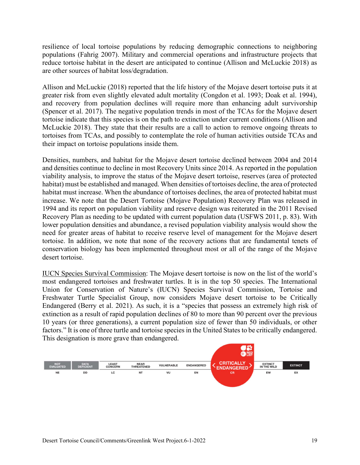resilience of local tortoise populations by reducing demographic connections to neighboring populations (Fahrig 2007). Military and commercial operations and infrastructure projects that reduce tortoise habitat in the desert are anticipated to continue (Allison and McLuckie 2018) as are other sources of habitat loss/degradation.

Allison and McLuckie (2018) reported that the life history of the Mojave desert tortoise puts it at greater risk from even slightly elevated adult mortality (Congdon et al. 1993; Doak et al. 1994), and recovery from population declines will require more than enhancing adult survivorship (Spencer et al. 2017). The negative population trends in most of the TCAs for the Mojave desert tortoise indicate that this species is on the path to extinction under current conditions (Allison and McLuckie 2018). They state that their results are a call to action to remove ongoing threats to tortoises from TCAs, and possibly to contemplate the role of human activities outside TCAs and their impact on tortoise populations inside them.

Densities, numbers, and habitat for the Mojave desert tortoise declined between 2004 and 2014 and densities continue to decline in most Recovery Units since 2014. As reported in the population viability analysis, to improve the status of the Mojave desert tortoise, reserves (area of protected habitat) must be established and managed. When densities of tortoises decline, the area of protected habitat must increase. When the abundance of tortoises declines, the area of protected habitat must increase. We note that the Desert Tortoise (Mojave Population) Recovery Plan was released in 1994 and its report on population viability and reserve design was reiterated in the 2011 Revised Recovery Plan as needing to be updated with current population data (USFWS 2011, p. 83). With lower population densities and abundance, a revised population viability analysis would show the need for greater areas of habitat to receive reserve level of management for the Mojave desert tortoise. In addition, we note that none of the recovery actions that are fundamental tenets of conservation biology has been implemented throughout most or all of the range of the Mojave desert tortoise.

IUCN Species Survival Commission: The Mojave desert tortoise is now on the list of the world's most endangered tortoises and freshwater turtles. It is in the top 50 species. The International Union for Conservation of Nature's (IUCN) Species Survival Commission, Tortoise and Freshwater Turtle Specialist Group, now considers Mojave desert tortoise to be Critically Endangered (Berry et al. 2021). As such, it is a "species that possess an extremely high risk of extinction as a result of rapid population declines of 80 to more than 90 percent over the previous 10 years (or three generations), a current population size of fewer than 50 individuals, or other factors." It is one of three turtle and tortoise species in the United States to be critically endangered. This designation is more grave than endangered.

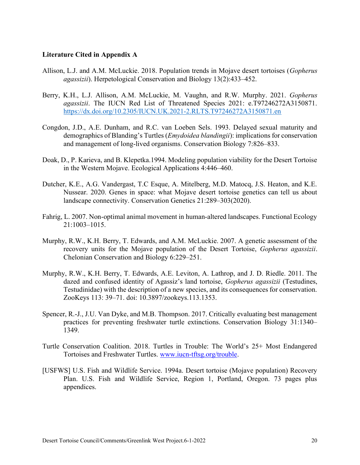#### Literature Cited in Appendix A

- Allison, L.J. and A.M. McLuckie. 2018. Population trends in Mojave desert tortoises (Gopherus agassizii). Herpetological Conservation and Biology 13(2):433–452.
- Berry, K.H., L.J. Allison, A.M. McLuckie, M. Vaughn, and R.W. Murphy. 2021. Gopherus agassizii. The IUCN Red List of Threatened Species 2021: e.T97246272A3150871. https://dx.doi.org/10.2305/IUCN.UK.2021-2.RLTS.T97246272A3150871.en
- Congdon, J.D., A.E. Dunham, and R.C. van Loeben Sels. 1993. Delayed sexual maturity and demographics of Blanding's Turtles (*Emydoidea blandingii*): implications for conservation and management of long-lived organisms. Conservation Biology 7:826–833.
- Doak, D., P. Karieva, and B. Klepetka.1994. Modeling population viability for the Desert Tortoise in the Western Mojave. Ecological Applications 4:446–460.
- Dutcher, K.E., A.G. Vandergast, T.C Esque, A. Mitelberg, M.D. Matocq, J.S. Heaton, and K.E. Nussear. 2020. Genes in space: what Mojave desert tortoise genetics can tell us about landscape connectivity. Conservation Genetics 21:289–303(2020).
- Fahrig, L. 2007. Non-optimal animal movement in human-altered landscapes. Functional Ecology 21:1003–1015.
- Murphy, R.W., K.H. Berry, T. Edwards, and A.M. McLuckie. 2007. A genetic assessment of the recovery units for the Mojave population of the Desert Tortoise, *Gopherus agassizii*. Chelonian Conservation and Biology 6:229–251.
- Murphy, R.W., K.H. Berry, T. Edwards, A.E. Leviton, A. Lathrop, and J. D. Riedle. 2011. The dazed and confused identity of Agassiz's land tortoise, *Gopherus agassizii* (Testudines, Testudinidae) with the description of a new species, and its consequences for conservation. ZooKeys 113: 39–71. doi: 10.3897/zookeys.113.1353.
- Spencer, R.-J., J.U. Van Dyke, and M.B. Thompson. 2017. Critically evaluating best management practices for preventing freshwater turtle extinctions. Conservation Biology 31:1340– 1349.
- Turtle Conservation Coalition. 2018. Turtles in Trouble: The World's 25+ Most Endangered Tortoises and Freshwater Turtles. www.iucn-tftsg.org/trouble.
- [USFWS] U.S. Fish and Wildlife Service. 1994a. Desert tortoise (Mojave population) Recovery Plan. U.S. Fish and Wildlife Service, Region 1, Portland, Oregon. 73 pages plus appendices.